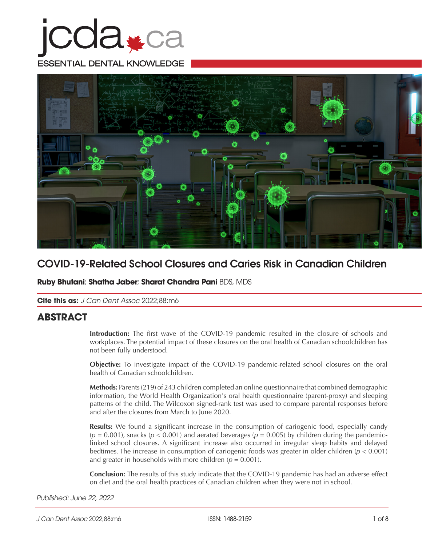# **COA#Ca** ESSENTIAL DENTAL KNOWLEDGE



## COVID-19-Related School Closures and Caries Risk in Canadian Children

**Ruby Bhutani**; **Shatha Jaber**; **Sharat Chandra Pani** BDS, MDS

**Cite this as:** *J Can Dent Assoc* 2022;88:m6

## **ABSTRACT**

**Introduction:** The first wave of the COVID-19 pandemic resulted in the closure of schools and workplaces. The potential impact of these closures on the oral health of Canadian schoolchildren has not been fully understood.

**Objective:** To investigate impact of the COVID-19 pandemic-related school closures on the oral health of Canadian schoolchildren.

**Methods:** Parents (219) of 243 children completed an online questionnaire that combined demographic information, the World Health Organization's oral health questionnaire (parent-proxy) and sleeping patterns of the child. The Wilcoxon signed-rank test was used to compare parental responses before and after the closures from March to June 2020.

**Results:** We found a significant increase in the consumption of cariogenic food, especially candy  $(p = 0.001)$ , snacks  $(p < 0.001)$  and aerated beverages  $(p = 0.005)$  by children during the pandemiclinked school closures. A significant increase also occurred in irregular sleep habits and delayed bedtimes. The increase in consumption of cariogenic foods was greater in older children (*p* < 0.001) and greater in households with more children  $(p = 0.001)$ .

**Conclusion:** The results of this study indicate that the COVID-19 pandemic has had an adverse effect on diet and the oral health practices of Canadian children when they were not in school.

#### *Published: June 22, 2022*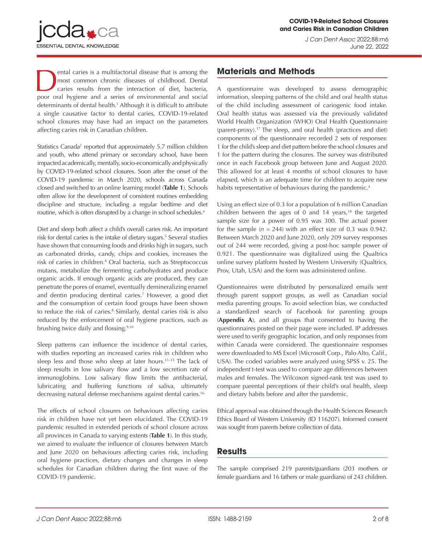

ental caries is a multifactorial disease that is among the most common chronic diseases of childhood. Dental caries results from the interaction of diet, bacteria, poor oral hygiene and a series of environmental and social determinants of dental health.1 Although it is difficult to attribute a single causative factor to dental caries, COVID-19-related school closures may have had an impact on the parameters affecting caries risk in Canadian children.

ESSENTIAL DENTAL KNOWLEDGE

Statistics Canada<sup>2</sup> reported that approximately 5.7 million children and youth, who attend primary or secondary school, have been impacted academically, mentally, socio-economically and physically by COVID-19-related school closures. Soon after the onset of the COVID-19 pandemic in March 2020, schools across Canada closed and switched to an online learning model (**Table 1**). Schools often allow for the development of consistent routines embedding discipline and structure, including a regular bedtime and diet routine, which is often disrupted by a change in school schedules.4

Diet and sleep both affect a child's overall caries risk. An important risk for dental caries is the intake of dietary sugars.<sup>5</sup> Several studies have shown that consuming foods and drinks high in sugars, such as carbonated drinks, candy, chips and cookies, increases the risk of caries in children.<sup>6</sup> Oral bacteria, such as Streptococcus mutans, metabolize the fermenting carbohydrates and produce organic acids. If enough organic acids are produced, they can penetrate the pores of enamel, eventually demineralizing enamel and dentin producing dentinal caries.7 However, a good diet and the consumption of certain food groups have been shown to reduce the risk of caries.<sup>8</sup> Similarly, dental caries risk is also reduced by the enforcement of oral hygiene practices, such as brushing twice daily and flossing.<sup>9,10</sup>

Sleep patterns can influence the incidence of dental caries, with studies reporting an increased caries risk in children who sleep less and those who sleep at later hours.<sup>11-15</sup> The lack of sleep results in low salivary flow and a low secretion rate of immunoglobins. Low salivary flow limits the antibacterial, lubricating and buffering functions of saliva, ultimately decreasing natural defense mechanisms against dental caries.16

The effects of school closures on behaviours affecting caries risk in children have not yet been elucidated. The COVID-19 pandemic resulted in extended periods of school closure across all provinces in Canada to varying extents (**Table 1**). In this study, we aimed to evaluate the influence of closures between March and June 2020 on behaviours affecting caries risk, including oral hygiene practices, dietary changes and changes in sleep schedules for Canadian children during the first wave of the COVID-19 pandemic.

## **Materials and Methods**

A questionnaire was developed to assess demographic information, sleeping patterns of the child and oral health status of the child including assessment of cariogenic food intake. Oral health status was assessed via the previously validated World Health Organization (WHO) Oral Health Questionnaire (parent-proxy).17 The sleep, and oral health (practices and diet) components of the questionnaire recorded 2 sets of responses: 1 for the child's sleep and diet pattern before the school closures and 1 for the pattern during the closures. The survey was distributed once in each Facebook group between June and August 2020. This allowed for at least 4 months of school closures to have elapsed, which is an adequate time for children to acquire new habits representative of behaviours during the pandemic.<sup>4</sup>

Using an effect size of 0.3 for a population of 6 million Canadian children between the ages of 0 and 14 years, $18$  the targeted sample size for a power of 0.95 was 300. The actual power for the sample  $(n = 244)$  with an effect size of 0.3 was 0.942. Between March 2020 and June 2020, only 209 survey responses out of 244 were recorded, giving a post-hoc sample power of 0.921. The questionnaire was digitalized using the Qualtrics online survey platform hosted by Western University (Qualtrics, Prov, Utah, USA) and the form was administered online.

Questionnaires were distributed by personalized emails sent through parent support groups, as well as Canadian social media parenting groups. To avoid selection bias, we conducted a standardized search of Facebook for parenting groups (**Appendix A**), and all groups that consented to having the questionnaires posted on their page were included. IP addresses were used to verify geographic location, and only responses from within Canada were considered. The questionnaire responses were downloaded to MS Excel (Microsoft Corp., Palo Alto, Calif., USA). The coded variables were analyzed using SPSS v. 25. The independent t-test was used to compare age differences between males and females. The Wilcoxon signed-rank test was used to compare parental perceptions of their child's oral health, sleep and dietary habits before and after the pandemic.

Ethical approval was obtained through the Health Sciences Research Ethics Board of Western University (ID 116207). Informed consent was sought from parents before collection of data.

#### **Results**

The sample comprised 219 parents/guardians (203 mothers or female guardians and 16 fathers or male guardians) of 243 children.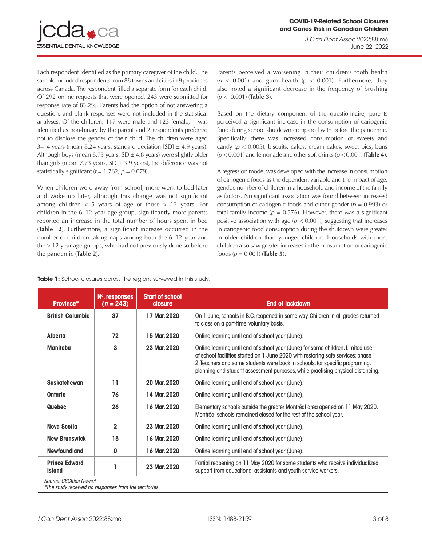

Each respondent identified as the primary caregiver of the child. The sample included respondents from 88 towns and cities in 9 provinces across Canada. The respondent filled a separate form for each child. Of 292 online requests that were opened, 243 were submitted for response rate of 83.2%. Parents had the option of not answering a question, and blank responses were not included in the statistical analyses. Of the children, 117 were male and 123 female, 1 was identified as non-binary by the parent and 2 respondents preferred not to disclose the gender of their child. The children were aged 3–14 years (mean 8.24 years, standard deviation [SD]  $\pm$  4.9 years). Although boys (mean 8.73 years,  $SD \pm 4.8$  years) were slightly older than girls (mean 7.73 years,  $SD \pm 3.9$  years), the difference was not statistically significant  $(t = 1.762, p = 0.079)$ .

When children were away from school, more went to bed later and woke up later, although this change was not significant among children  $<$  5 years of age or those  $>$  12 years. For children in the 6–12-year age group, significantly more parents reported an increase in the total number of hours spent in bed (**Table 2**). Furthermore, a significant increase occurred in the number of children taking naps among both the 6–12-year and the > 12 year age groups, who had not previously done so before the pandemic (**Table 2**).

Parents perceived a worsening in their children's tooth health  $(p < 0.001)$  and gum health  $(p < 0.001)$ . Furthermore, they also noted a significant decrease in the frequency of brushing (*p* < 0.001) (**Table 3**).

Based on the dietary component of the questionnaire, parents perceived a significant increase in the consumption of cariogenic food during school shutdown compared with before the pandemic. Specifically, there was increased consumption of sweets and candy  $(p < 0.005)$ , biscuits, cakes, cream cakes, sweet pies, buns (*p* < 0.001) and lemonade and other soft drinks (*p* < 0.001) (**Table 4**).

A regression model was developed with the increase in consumption of cariogenic foods as the dependent variable and the impact of age, gender, number of children in a household and income of the family as factors. No significant association was found between increased consumption of cariogenic foods and either gender (*p* = 0.993) or total family income  $(p = 0.576)$ . However, there was a significant positive association with age ( $p < 0.001$ ), suggesting that increases in cariogenic food consumption during the shutdown were greater in older children than younger children. Households with more children also saw greater increases in the consumption of cariogenic foods (*p* = 0.001) (**Table 5**).

| <b>Table 1:</b> School closures across the regions surveyed in this study. |  |
|----------------------------------------------------------------------------|--|
|----------------------------------------------------------------------------|--|

| Province*                             | N°. responses<br>$(n = 243)$ | <b>Start of school</b><br>closure | <b>End of lockdown</b>                                                                                                                                                                                                                                                                                                               |  |  |
|---------------------------------------|------------------------------|-----------------------------------|--------------------------------------------------------------------------------------------------------------------------------------------------------------------------------------------------------------------------------------------------------------------------------------------------------------------------------------|--|--|
| <b>British Columbia</b>               | 37                           | 17 Mar. 2020                      | On 1 June, schools in B.C. reopened in some way. Children in all grades returned<br>to class on a part-time, voluntary basis.                                                                                                                                                                                                        |  |  |
| <b>Alberta</b>                        | 72                           | 15 Mar. 2020                      | Online learning until end of school year (June).                                                                                                                                                                                                                                                                                     |  |  |
| <b>Manitoba</b>                       | 3                            | 23 Mar. 2020                      | Online learning until end of school year (June) for some children. Limited use<br>of school facilities started on 1 June 2020 with restoring safe services: phase<br>2. Teachers and some students were back in schools, for specific programing,<br>planning and student assessment purposes, while practising physical distancing. |  |  |
| Saskatchewan                          | 11                           | 20 Mar. 2020                      | Online learning until end of school year (June).                                                                                                                                                                                                                                                                                     |  |  |
| <b>Ontario</b>                        | 76                           | 14 Mar. 2020                      | Online learning until end of school year (June).                                                                                                                                                                                                                                                                                     |  |  |
| Quebec                                | 26                           | 16 Mar. 2020                      | Elementary schools outside the greater Montréal area opened on 11 May 2020.<br>Montréal schools remained closed for the rest of the school year.                                                                                                                                                                                     |  |  |
| <b>Nova Scotia</b>                    | $\overline{2}$               | 23 Mar. 2020                      | Online learning until end of school year (June).                                                                                                                                                                                                                                                                                     |  |  |
| <b>New Brunswick</b>                  | 15                           | 16 Mar. 2020                      | Online learning until end of school year (June).                                                                                                                                                                                                                                                                                     |  |  |
| <b>Newfoundland</b>                   | 0                            | 16 Mar. 2020                      | Online learning until end of school year (June).                                                                                                                                                                                                                                                                                     |  |  |
| <b>Prince Edward</b><br><b>Island</b> | 1                            | 23 Mar. 2020                      | Partial reopening on 11 May 2020 for some students who receive individualized<br>support from educational assistants and youth service workers.                                                                                                                                                                                      |  |  |
| Source: CBCKids News. <sup>3</sup>    |                              | .                                 |                                                                                                                                                                                                                                                                                                                                      |  |  |

*\*The study received no responses from the territories.*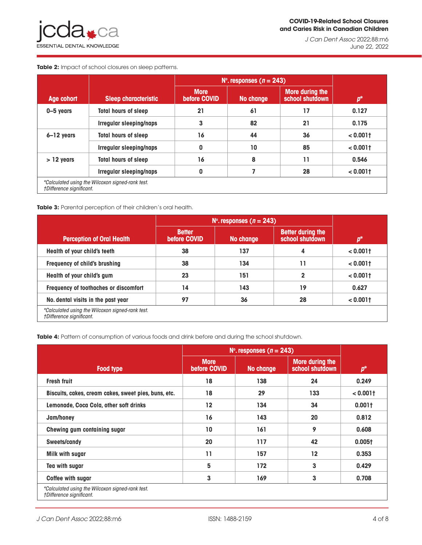*J Can Dent Assoc* 2022;88:m6 June 22, 2022

**Table 2:** Impact of school closures on sleep patterns.

|                                                                              |                                | $N^{\circ}$ . responses (n = 243) |           |                                    |             |  |
|------------------------------------------------------------------------------|--------------------------------|-----------------------------------|-----------|------------------------------------|-------------|--|
| Age cohort                                                                   | <b>Sleep characteristic</b>    | <b>More</b><br>before COVID       | No change | More during the<br>school shutdown | $p^*$       |  |
| 0-5 years                                                                    | <b>Total hours of sleep</b>    | 21                                | 61        | 17                                 | 0.127       |  |
|                                                                              | Irregular sleeping/naps        | 3                                 | 82        | 21                                 | 0.175       |  |
| $6 - 12$ years                                                               | <b>Total hours of sleep</b>    | 16                                | 44        | 36                                 | $< 0.001$ t |  |
|                                                                              | <b>Irregular sleeping/naps</b> | $\mathbf{0}$                      | 10        | 85                                 | $< 0.001$ t |  |
| $> 12$ years                                                                 | <b>Total hours of sleep</b>    | 16                                | 8         | 11                                 | 0.546       |  |
|                                                                              | <b>Irregular sleeping/naps</b> | $\mathbf{0}$                      |           | 28                                 | $< 0.001$ t |  |
| *Calculated using the Wilcoxon signed-rank test.<br>†Difference significant. |                                |                                   |           |                                    |             |  |

#### **Table 3:** Parental perception of their children's oral health.

|                                                                              | $N^{\circ}$ . responses (n = 243) |           |                                             |             |
|------------------------------------------------------------------------------|-----------------------------------|-----------|---------------------------------------------|-------------|
| <b>Perception of Oral Health</b>                                             | <b>Better</b><br>before COVID     | No change | <b>Better during the</b><br>school shutdown | $n^*$       |
| Health of your child's teeth                                                 | 38                                | 137       | 4                                           | $< 0.001$ t |
| Frequency of child's brushing                                                | 38                                | 134       | 11                                          | $< 0.001$ t |
| Health of your child's gum                                                   | 23                                | 151       | $\mathbf 2$                                 | $< 0.001$ t |
| Frequency of toothaches or discomfort                                        | 14                                | 143       | 19                                          | 0.627       |
| No. dental visits in the past year                                           | 97                                | 36        | 28                                          | $< 0.001$ t |
| *Calculated using the Wilcoxon signed-rank test.<br>†Difference significant. |                                   |           |                                             |             |

Table 4: Pattern of consumption of various foods and drink before and during the school shutdown.

|                                                                              | $N^{\circ}$ . responses (n = 243) |                  |                                    |                    |  |
|------------------------------------------------------------------------------|-----------------------------------|------------------|------------------------------------|--------------------|--|
| <b>Food type</b>                                                             | <b>More</b><br>before COVID       | <b>No change</b> | More during the<br>school shutdown | $p^*$              |  |
| <b>Fresh fruit</b>                                                           | 18                                | 138              | 24                                 | 0.249              |  |
| Biscuits, cakes, cream cakes, sweet pies, buns, etc.                         | 18                                | 29               | 133                                | $< 0.001$ †        |  |
| Lemonade, Coca Cola, other soft drinks                                       | $12 \$                            | 134              | 34                                 | 0.001 <sub>†</sub> |  |
| Jam/honey                                                                    | 16                                | 143              | 20                                 | 0.812              |  |
| Chewing gum containing sugar                                                 | 10                                | 161              | 9                                  | 0.608              |  |
| Sweets/candy                                                                 | 20                                | 117              | 42                                 | 0.0051             |  |
| Milk with sugar                                                              | 11                                | 157              | $12 \,$                            | 0.353              |  |
| Tea with sugar                                                               | 5                                 | 172              | 3                                  | 0.429              |  |
| <b>Coffee with sugar</b>                                                     | 3                                 | 169              | 3                                  | 0.708              |  |
| *Calculated using the Wilcoxon signed-rank test.<br>†Difference significant. |                                   |                  |                                    |                    |  |

<sup>†</sup>Difference significant.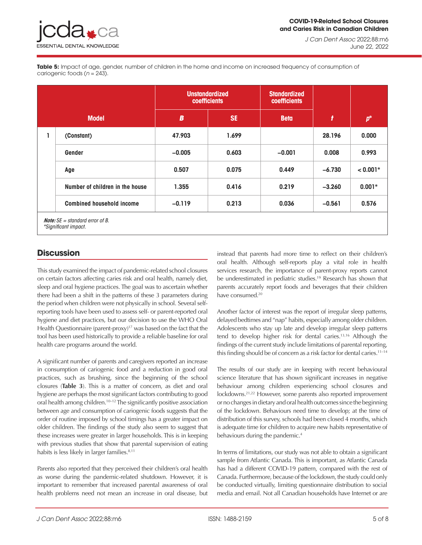*J Can Dent Assoc* 2022;88:m6 June 22, 2022

Table 5: Impact of age, gender, number of children in the home and income on increased frequency of consumption of cariogenic foods (*n* = 243).

|              |                                                                  | <b>Unstandardized</b><br>coefficients |           | <b>Standardized</b><br>coefficients |                  |            |  |
|--------------|------------------------------------------------------------------|---------------------------------------|-----------|-------------------------------------|------------------|------------|--|
| <b>Model</b> |                                                                  | $\boldsymbol{B}$                      | <b>SE</b> | <b>Beta</b>                         | $\boldsymbol{t}$ | $p^*$      |  |
| ı            | (Constant)                                                       | 47.903                                | 1.699     |                                     | 28.196           | 0.000      |  |
|              | Gender                                                           | $-0.005$                              | 0.603     | $-0.001$                            | 0.008            | 0.993      |  |
|              | Age                                                              | 0.507                                 | 0.075     | 0.449                               | $-6.730$         | $< 0.001*$ |  |
|              | Number of children in the house                                  | 1.355                                 | 0.416     | 0.219                               | $-3.260$         | $0.001*$   |  |
|              | <b>Combined household income</b>                                 | $-0.119$                              | 0.213     | 0.036                               | $-0.561$         | 0.576      |  |
|              | <b>Note:</b> $SE =$ standard error of B.<br>*Significant impact. |                                       |           |                                     |                  |            |  |

## **Discussion**

This study examined the impact of pandemic-related school closures on certain factors affecting caries risk and oral health, namely diet, sleep and oral hygiene practices. The goal was to ascertain whether there had been a shift in the patterns of these 3 parameters during the period when children were not physically in school. Several selfreporting tools have been used to assess self- or parent-reported oral hygiene and diet practices, but our decision to use the WHO Oral Health Questionnaire (parent-proxy)<sup>17</sup> was based on the fact that the tool has been used historically to provide a reliable baseline for oral health care programs around the world.

A significant number of parents and caregivers reported an increase in consumption of cariogenic food and a reduction in good oral practices, such as brushing, since the beginning of the school closures (**Table 3**). This is a matter of concern, as diet and oral hygiene are perhaps the most significant factors contributing to good oral health among children.10–12 The significantly positive association between age and consumption of cariogenic foods suggests that the order of routine imposed by school timings has a greater impact on older children. The findings of the study also seem to suggest that these increases were greater in larger households. This is in keeping with previous studies that show that parental supervision of eating habits is less likely in larger families. $8,11$ 

Parents also reported that they perceived their children's oral health as worse during the pandemic-related shutdown. However, it is important to remember that increased parental awareness of oral health problems need not mean an increase in oral disease, but instead that parents had more time to reflect on their children's oral health. Although self-reports play a vital role in health services research, the importance of parent-proxy reports cannot be underestimated in pediatric studies.<sup>19</sup> Research has shown that parents accurately report foods and beverages that their children have consumed.<sup>20</sup>

Another factor of interest was the report of irregular sleep patterns, delayed bedtimes and "nap" habits, especially among older children. Adolescents who stay up late and develop irregular sleep patterns tend to develop higher risk for dental caries.13,16 Although the findings of the current study include limitations of parental reporting, this finding should be of concern as a risk factor for dental caries.<sup>11-14</sup>

The results of our study are in keeping with recent behavioural science literature that has shown significant increases in negative behaviour among children experiencing school closures and lockdowns.21,22 However, some parents also reported improvement or no changes in dietary and oral health outcomes since the beginning of the lockdown. Behaviours need time to develop; at the time of distribution of this survey, schools had been closed 4 months, which is adequate time for children to acquire new habits representative of behaviours during the pandemic.<sup>4</sup>

In terms of limitations, our study was not able to obtain a significant sample from Atlantic Canada. This is important, as Atlantic Canada has had a different COVID-19 pattern, compared with the rest of Canada. Furthermore, because of the lockdown, the study could only be conducted virtually, limiting questionnaire distribution to social media and email. Not all Canadian households have Internet or are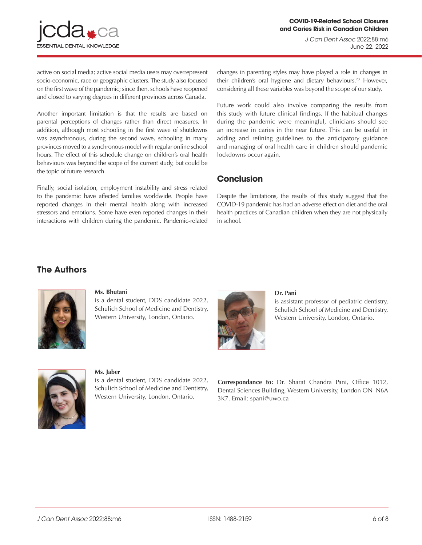

active on social media; active social media users may overrepresent socio-economic, race or geographic clusters. The study also focused on the first wave of the pandemic; since then, schools have reopened and closed to varying degrees in different provinces across Canada.

Another important limitation is that the results are based on parental perceptions of changes rather than direct measures. In addition, although most schooling in the first wave of shutdowns was asynchronous, during the second wave, schooling in many provinces moved to a synchronous model with regular online school hours. The effect of this schedule change on children's oral health behaviours was beyond the scope of the current study, but could be the topic of future research.

Finally, social isolation, employment instability and stress related to the pandemic have affected families worldwide. People have reported changes in their mental health along with increased stressors and emotions. Some have even reported changes in their interactions with children during the pandemic. Pandemic-related changes in parenting styles may have played a role in changes in their children's oral hygiene and dietary behaviours.<sup>23</sup> However, considering all these variables was beyond the scope of our study.

Future work could also involve comparing the results from this study with future clinical findings. If the habitual changes during the pandemic were meaningful, clinicians should see an increase in caries in the near future. This can be useful in adding and refining guidelines to the anticipatory guidance and managing of oral health care in children should pandemic lockdowns occur again.

## **Conclusion**

Despite the limitations, the results of this study suggest that the COVID-19 pandemic has had an adverse effect on diet and the oral health practices of Canadian children when they are not physically in school.

## **The Authors**



#### **Ms. Bhutani**

is a dental student, DDS candidate 2022, Schulich School of Medicine and Dentistry, Western University, London, Ontario.



#### **Dr. Pani**

is assistant professor of pediatric dentistry, Schulich School of Medicine and Dentistry, Western University, London, Ontario.



#### **Ms. Jaber**

is a dental student, DDS candidate 2022, Schulich School of Medicine and Dentistry, Western University, London, Ontario.

**Correspondance to:** Dr. Sharat Chandra Pani, Office 1012, Dental Sciences Building, Western University, London ON N6A 3K7. Email: spani@uwo.ca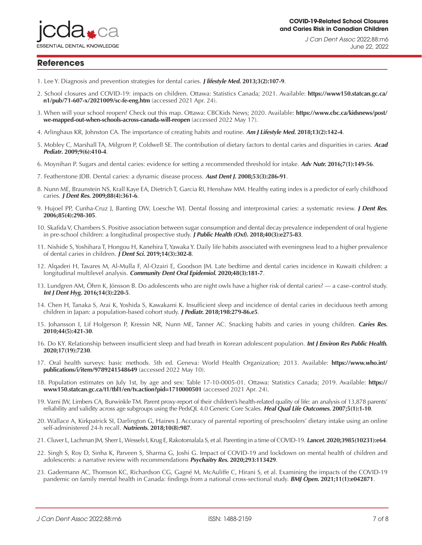

*J Can Dent Assoc* 2022;88:m6 June 22, 2022

#### **References**

- 1. Lee Y. Diagnosis and prevention strategies for dental caries. **J lifestyle Med. [2013;3\(2\):107-9](https://pubmed.ncbi.nlm.nih.gov/26064846/)**.
- 2. School closures and COVID-19: impacts on children. Ottawa: Statistics Canada; 2021. Available: **[https://www150.statcan.gc.ca/](https://www150.statcan.gc.ca/n1/pub/71-607-x/2021009/sc-fe-eng.htm) [n1/pub/71-607-x/2021009/sc-fe-eng.htm](https://www150.statcan.gc.ca/n1/pub/71-607-x/2021009/sc-fe-eng.htm)** (accessed 2021 Apr. 24).
- 3. When will your school reopen? Check out this map. Ottawa: CBCKids News; 2020. Available: **[https://www.cbc.ca/kidsnews/post/](https://www.cbc.ca/kidsnews/post/we-mapped-out-when-schools-across-canada-will-reopen) [we-mapped-out-when-schools-across-canada-will-reopen](https://www.cbc.ca/kidsnews/post/we-mapped-out-when-schools-across-canada-will-reopen)** (accessed 2022 May 17).
- 4. Arlinghaus KR, Johnston CA. The importance of creating habits and routine. **[Am J Lifestyle Med](https://pubmed.ncbi.nlm.nih.gov/30800018/). 2018;13(2):142-4**.
- 5. Mobley C, Marshall TA, Milgrom P, Coldwell SE. The contribution of dietary factors to dental caries and disparities in caries. **[Acad](https://pubmed.ncbi.nlm.nih.gov/19945075/) Pediatr[. 2009;9\(6\):410-4](https://pubmed.ncbi.nlm.nih.gov/19945075/)**.
- 6. Moynihan P. Sugars and dental caries: evidence for setting a recommended threshold for intake. **Adv Nutr. [2016;7\(1\):149-56](https://pubmed.ncbi.nlm.nih.gov/26773022/)**.
- 7. Featherstone JDB. Dental caries: a dynamic disease process. **Aust Dent J[. 2008;53\(3\):286-91](https://pubmed.ncbi.nlm.nih.gov/18782377/)**.
- 8. Nunn ME, Braunstein NS, Krall Kaye EA, Dietrich T, Garcia RI, Henshaw MM. Healthy eating index is a predictor of early childhood caries. **J Dent Res[. 2009;88\(4\):361-6](https://pubmed.ncbi.nlm.nih.gov/19407158/)**.
- 9. Hujoel PP, Cunha-Cruz J, Banting DW, Loesche WJ. Dental flossing and interproximal caries: a systematic review. **[J Dent Res.](https://pubmed.ncbi.nlm.nih.gov/16567548/) [2006;85\(4\):298-305](https://pubmed.ncbi.nlm.nih.gov/16567548/)**.
- 10. Skafida V, Chambers S. Positive association between sugar consumption and dental decay prevalence independent of oral hygiene in pre-school children: a longitudinal prospective study. **J Public Health (Oxf)[. 2018;40\(3\):e275-83](https://pubmed.ncbi.nlm.nih.gov/29301042/)**.
- 11. Nishide S, Yoshihara T, Hongou H, Kanehira T, Yawaka Y. Daily life habits associated with eveningness lead to a higher prevalence of dental caries in children. **J Dent Sci. [2019;14\(3\):302-8](https://pubmed.ncbi.nlm.nih.gov/31528259/)**.
- 12. Alqaderi H, Tavares M, Al‐Mulla F, Al‐Ozairi E, Goodson JM. Late bedtime and dental caries incidence in Kuwaiti children: a longitudinal multilevel analysis. **[Community Dent Oral Epidemiol](https://pubmed.ncbi.nlm.nih.gov/32077126/). 2020;48(3):181-7**.
- 13. Lundgren AM, Öhrn K, Jönsson B. Do adolescents who are night owls have a higher risk of dental caries? a case–control study. **Int J Dent Hyg[. 2016;14\(3\):220-5](https://pubmed.ncbi.nlm.nih.gov/26198407/)**.
- 14. Chen H, Tanaka S, Arai K, Yoshida S, Kawakami K. Insufficient sleep and incidence of dental caries in deciduous teeth among children in Japan: a population-based cohort study. **J Pediatr. [2018;198:279-86.e5](https://pubmed.ncbi.nlm.nih.gov/29709344/)**.
- 15. Johansson I, Lif Holgerson P, Kressin NR, Nunn ME, Tanner AC. Snacking habits and caries in young children. **[Caries Res.](https://pubmed.ncbi.nlm.nih.gov/20720422/) [2010;44\(5\):421-30](https://pubmed.ncbi.nlm.nih.gov/20720422/)**.
- 16. Do KY. Relationship between insufficient sleep and bad breath in Korean adolescent population. **[Int J Environ Res Public Health](https://pubmed.ncbi.nlm.nih.gov/33023266/). [2020;17\(19\):7230](https://pubmed.ncbi.nlm.nih.gov/33023266/)**.
- 17. Oral health surveys: basic methods. 5th ed. Geneva: World Health Organization; 2013. Available: **[https://www.who.int/](https://www.who.int/publications/i/item/9789241548649) [publications/i/item/9789241548649](https://www.who.int/publications/i/item/9789241548649)** (accessed 2022 May 10).
- 18. Population estimates on July 1st, by age and sex: Table 17-10-0005-01. Ottawa: Statistics Canada; 2019. Available: **[https://](https://www150.statcan.gc.ca/t1/tbl1/en/tv.action?pid=1710000501) [www150.statcan.gc.ca/t1/tbl1/en/tv.action?pid=1710000501](https://www150.statcan.gc.ca/t1/tbl1/en/tv.action?pid=1710000501)** (accessed 2021 Apr. 24).
- 19. Varni JW, Limbers CA, Burwinkle TM. Parent proxy-report of their children's health-related quality of life: an analysis of 13,878 parents' reliability and validity across age subgroups using the PedsQL 4.0 Generic Core Scales. **[Heal Qual Life Outcomes](https://pubmed.ncbi.nlm.nih.gov/17201923/). 2007;5(1):1-10**.
- 20. Wallace A, Kirkpatrick SI, Darlington G, Haines J. Accuracy of parental reporting of preschoolers' dietary intake using an online self-administered 24-h recall. **Nutrients. [2018;10\(8\):987](https://pubmed.ncbi.nlm.nih.gov/30060605/)**.
- 21. Cluver L, Lachman JM, Sherr L, Wessels I, Krug E, Rakotomalala S, et al. Parenting in a time of COVID-19. **Lancet. [2020;3985\(10231\):e64](https://pubmed.ncbi.nlm.nih.gov/32220657/)**.
- 22. Singh S, Roy D, Sinha K, Parveen S, Sharma G, Joshi G. Impact of COVID-19 and lockdown on mental health of children and adolescents: a narrative review with recommendations **Psychaitry Res[. 2020;293:113429](https://pubmed.ncbi.nlm.nih.gov/32882598/)**.
- 23. Gadermann AC, Thomson KC, Richardson CG, Gagné M, McAuliffe C, Hirani S, et al. Examining the impacts of the COVID-19 pandemic on family mental health in Canada: findings from a national cross-sectional study. **BMJ Open[. 2021;11\(1\):e042871](https://pubmed.ncbi.nlm.nih.gov/33436472/)**.